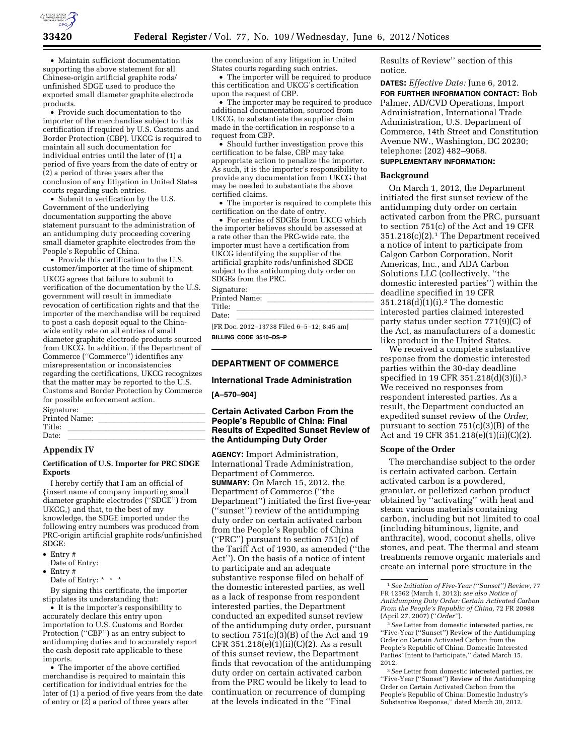

• Maintain sufficient documentation supporting the above statement for all Chinese-origin artificial graphite rods/ unfinished SDGE used to produce the exported small diameter graphite electrode products.

• Provide such documentation to the importer of the merchandise subject to this certification if required by U.S. Customs and Border Protection (CBP). UKCG is required to maintain all such documentation for individual entries until the later of (1) a period of five years from the date of entry or (2) a period of three years after the conclusion of any litigation in United States courts regarding such entries.

• Submit to verification by the U.S. Government of the underlying documentation supporting the above statement pursuant to the administration of an antidumping duty proceeding covering small diameter graphite electrodes from the People's Republic of China.

• Provide this certification to the U.S. customer/importer at the time of shipment. UKCG agrees that failure to submit to verification of the documentation by the U.S. government will result in immediate revocation of certification rights and that the importer of the merchandise will be required to post a cash deposit equal to the Chinawide entity rate on all entries of small diameter graphite electrode products sourced from UKCG. In addition, if the Department of Commerce (''Commerce'') identifies any misrepresentation or inconsistencies regarding the certifications, UKCG recognizes that the matter may be reported to the U.S. Customs and Border Protection by Commerce for possible enforcement action.

| Signature:    |  |  |  |  |
|---------------|--|--|--|--|
| Printed Name: |  |  |  |  |
| Title:        |  |  |  |  |
| Date:         |  |  |  |  |
|               |  |  |  |  |

### **Appendix IV**

#### **Certification of U.S. Importer for PRC SDGE Exports**

I hereby certify that I am an official of {insert name of company importing small diameter graphite electrodes (''SDGE'') from UKCG,} and that, to the best of my knowledge, the SDGE imported under the following entry numbers was produced from PRC-origin artificial graphite rods/unfinished SDGE:

- Entry #
- Date of Entry:
- Entry #

Date of Entry: \* \* \*

By signing this certificate, the importer stipulates its understanding that:

• It is the importer's responsibility to accurately declare this entry upon importation to U.S. Customs and Border Protection ("CBP") as an entry subject to antidumping duties and to accurately report the cash deposit rate applicable to these imports.

• The importer of the above certified merchandise is required to maintain this certification for individual entries for the later of (1) a period of five years from the date of entry or  $(2)$  a period of three years after

the conclusion of any litigation in United States courts regarding such entries.

• The importer will be required to produce this certification and UKCG's certification upon the request of CBP.

• The importer may be required to produce additional documentation, sourced from UKCG, to substantiate the supplier claim made in the certification in response to a request from CBP.

• Should further investigation prove this certification to be false, CBP may take appropriate action to penalize the importer. As such, it is the importer's responsibility to provide any documentation from UKCG that may be needed to substantiate the above certified claims.

• The importer is required to complete this certification on the date of entry.

• For entries of SDGEs from UKCG which the importer believes should be assessed at a rate other than the PRC-wide rate, the importer must have a certification from UKCG identifying the supplier of the artificial graphite rods/unfinished SDGE subject to the antidumping duty order on SDGEs from the PRC.

| Signature:                                 |
|--------------------------------------------|
| Printed Name:                              |
| Title:                                     |
| Date:                                      |
| [FR Doc. 2012-13738 Filed 6-5-12: 8:45 am] |

**BILLING CODE 3510–DS–P** 

### **DEPARTMENT OF COMMERCE**

#### **International Trade Administration**

### **[A–570–904]**

## **Certain Activated Carbon From the People's Republic of China: Final Results of Expedited Sunset Review of the Antidumping Duty Order**

**AGENCY:** Import Administration, International Trade Administration, Department of Commerce. **SUMMARY:** On March 15, 2012, the Department of Commerce (''the Department'') initiated the first five-year (''sunset'') review of the antidumping duty order on certain activated carbon from the People's Republic of China (''PRC'') pursuant to section 751(c) of the Tariff Act of 1930, as amended (''the Act''). On the basis of a notice of intent to participate and an adequate substantive response filed on behalf of the domestic interested parties, as well as a lack of response from respondent interested parties, the Department conducted an expedited sunset review of the antidumping duty order, pursuant to section  $751(c)(3)(B)$  of the Act and 19  $CFR 351.218(e)(1)(ii)(C)(2)$ . As a result of this sunset review, the Department finds that revocation of the antidumping duty order on certain activated carbon from the PRC would be likely to lead to continuation or recurrence of dumping at the levels indicated in the ''Final

Results of Review'' section of this notice.

**DATES:** *Effective Date:* June 6, 2012. **FOR FURTHER INFORMATION CONTACT:** Bob Palmer, AD/CVD Operations, Import Administration, International Trade Administration, U.S. Department of Commerce, 14th Street and Constitution Avenue NW., Washington, DC 20230; telephone: (202) 482–9068.

# **SUPPLEMENTARY INFORMATION:**

#### **Background**

On March 1, 2012, the Department initiated the first sunset review of the antidumping duty order on certain activated carbon from the PRC, pursuant to section 751(c) of the Act and 19 CFR 351.218(c)(2).1 The Department received a notice of intent to participate from Calgon Carbon Corporation, Norit Americas, Inc., and ADA Carbon Solutions LLC (collectively, ''the domestic interested parties'') within the deadline specified in 19 CFR 351.218(d)(1)(i).2 The domestic interested parties claimed interested party status under section 771(9)(C) of the Act, as manufacturers of a domestic like product in the United States.

We received a complete substantive response from the domestic interested parties within the 30-day deadline specified in 19 CFR 351.218(d)(3)(i).3 We received no responses from respondent interested parties. As a result, the Department conducted an expedited sunset review of the *Order,*  pursuant to section 751(c)(3)(B) of the Act and 19 CFR 351.218(e)(1)(ii)(C)(2).

### **Scope of the Order**

The merchandise subject to the order is certain activated carbon. Certain activated carbon is a powdered, granular, or pelletized carbon product obtained by ''activating'' with heat and steam various materials containing carbon, including but not limited to coal (including bituminous, lignite, and anthracite), wood, coconut shells, olive stones, and peat. The thermal and steam treatments remove organic materials and create an internal pore structure in the

3*See* Letter from domestic interested parties, re: ''Five-Year (''Sunset'') Review of the Antidumping Order on Certain Activated Carbon from the People's Republic of China: Domestic Industry's Substantive Response,'' dated March 30, 2012.

<sup>1</sup>*See Initiation of Five-Year (''Sunset'') Review,* 77 FR 12562 (March 1, 2012); *see also Notice of Antidumping Duty Order: Certain Activated Carbon From the People's Republic of China,* 72 FR 20988 (April 27, 2007) (''*Order''*).

<sup>2</sup>*See* Letter from domestic interested parties, re: ''Five-Year (''Sunset'') Review of the Antidumping Order on Certain Activated Carbon from the People's Republic of China: Domestic Interested Parties' Intent to Participate," dated March 15, 2012.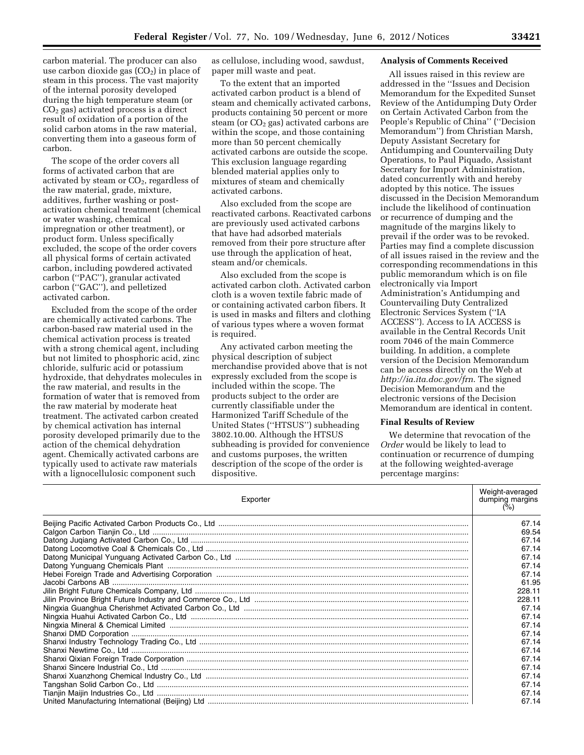carbon material. The producer can also use carbon dioxide gas  $(CO<sub>2</sub>)$  in place of steam in this process. The vast majority of the internal porosity developed during the high temperature steam (or CO2 gas) activated process is a direct result of oxidation of a portion of the solid carbon atoms in the raw material, converting them into a gaseous form of carbon.

The scope of the order covers all forms of activated carbon that are activated by steam or  $CO<sub>2</sub>$ , regardless of the raw material, grade, mixture, additives, further washing or postactivation chemical treatment (chemical or water washing, chemical impregnation or other treatment), or product form. Unless specifically excluded, the scope of the order covers all physical forms of certain activated carbon, including powdered activated carbon (''PAC''), granular activated carbon (''GAC''), and pelletized activated carbon.

Excluded from the scope of the order are chemically activated carbons. The carbon-based raw material used in the chemical activation process is treated with a strong chemical agent, including but not limited to phosphoric acid, zinc chloride, sulfuric acid or potassium hydroxide, that dehydrates molecules in the raw material, and results in the formation of water that is removed from the raw material by moderate heat treatment. The activated carbon created by chemical activation has internal porosity developed primarily due to the action of the chemical dehydration agent. Chemically activated carbons are typically used to activate raw materials with a lignocellulosic component such

as cellulose, including wood, sawdust, paper mill waste and peat.

To the extent that an imported activated carbon product is a blend of steam and chemically activated carbons, products containing 50 percent or more steam (or  $CO<sub>2</sub>$  gas) activated carbons are within the scope, and those containing more than 50 percent chemically activated carbons are outside the scope. This exclusion language regarding blended material applies only to mixtures of steam and chemically activated carbons.

Also excluded from the scope are reactivated carbons. Reactivated carbons are previously used activated carbons that have had adsorbed materials removed from their pore structure after use through the application of heat, steam and/or chemicals.

Also excluded from the scope is activated carbon cloth. Activated carbon cloth is a woven textile fabric made of or containing activated carbon fibers. It is used in masks and filters and clothing of various types where a woven format is required.

Any activated carbon meeting the physical description of subject merchandise provided above that is not expressly excluded from the scope is included within the scope. The products subject to the order are currently classifiable under the Harmonized Tariff Schedule of the United States (''HTSUS'') subheading 3802.10.00. Although the HTSUS subheading is provided for convenience and customs purposes, the written description of the scope of the order is dispositive.

#### **Analysis of Comments Received**

All issues raised in this review are addressed in the ''Issues and Decision Memorandum for the Expedited Sunset Review of the Antidumping Duty Order on Certain Activated Carbon from the People's Republic of China'' (''Decision Memorandum'') from Christian Marsh, Deputy Assistant Secretary for Antidumping and Countervailing Duty Operations, to Paul Piquado, Assistant Secretary for Import Administration, dated concurrently with and hereby adopted by this notice. The issues discussed in the Decision Memorandum include the likelihood of continuation or recurrence of dumping and the magnitude of the margins likely to prevail if the order was to be revoked. Parties may find a complete discussion of all issues raised in the review and the corresponding recommendations in this public memorandum which is on file electronically via Import Administration's Antidumping and Countervailing Duty Centralized Electronic Services System (''IA ACCESS''). Access to IA ACCESS is available in the Central Records Unit room 7046 of the main Commerce building. In addition, a complete version of the Decision Memorandum can be access directly on the Web at *<http://ia.ita.doc.gov/frn>*. The signed Decision Memorandum and the electronic versions of the Decision Memorandum are identical in content.

### **Final Results of Review**

We determine that revocation of the *Order* would be likely to lead to continuation or recurrence of dumping at the following weighted-average percentage margins:

| Exporter |        |  |
|----------|--------|--|
|          | 67.14  |  |
|          | 69.54  |  |
|          | 67.14  |  |
|          | 67.14  |  |
|          | 67.14  |  |
|          | 67.14  |  |
|          | 67.14  |  |
|          | 61.95  |  |
|          | 228.11 |  |
|          | 228.11 |  |
|          | 67.14  |  |
|          | 67.14  |  |
|          | 67.14  |  |
|          | 67.14  |  |
|          | 67.14  |  |
|          | 67.14  |  |
|          | 67.14  |  |
|          | 67.14  |  |
|          | 67.14  |  |
|          | 67.14  |  |
|          | 67.14  |  |
|          | 67.14  |  |